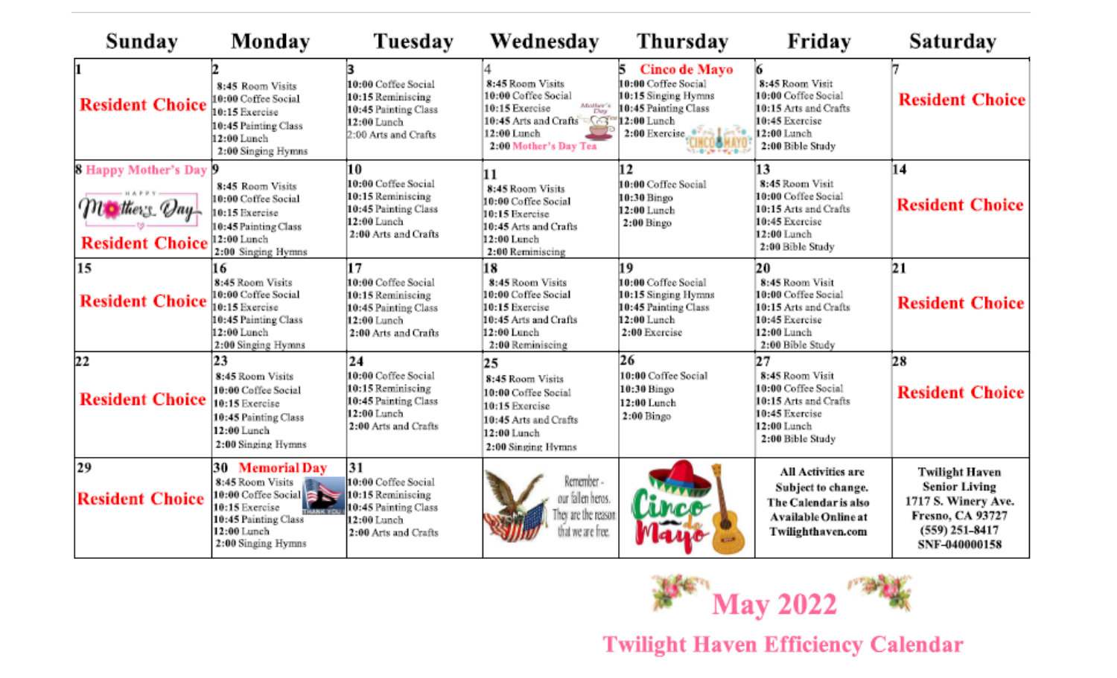| Sunday                                                                 | Monday                                                                                                                                              | Tuesday                                                                                                       | Wednesday                                                                                                                                                                     | Thursday                                                                                                                                      | Friday                                                                                                                       | Saturday                                                                                                                             |
|------------------------------------------------------------------------|-----------------------------------------------------------------------------------------------------------------------------------------------------|---------------------------------------------------------------------------------------------------------------|-------------------------------------------------------------------------------------------------------------------------------------------------------------------------------|-----------------------------------------------------------------------------------------------------------------------------------------------|------------------------------------------------------------------------------------------------------------------------------|--------------------------------------------------------------------------------------------------------------------------------------|
| 1<br><b>Resident Choice</b>                                            | 8:45 Room Visits<br>10:00 Coffee Social<br>10:15 Exercise<br>10:45 Painting Class<br>12:00 Lunch<br>2:00 Singing Hymns                              | 10:00 Coffee Social<br>10:15 Reminiscing<br>10:45 Painting Class<br>12:00 Lunch<br>2:00 Arts and Crafts       | 8:45 Room Visits<br>10:00 Coffee Social<br>$\begin{array}{cc} Mather's \\ Day \end{array}$<br>10:15 Exercise<br>10:45 Arts and Crafts<br>12:00 Lunch<br>2:00 Mother's Day Tea | Cinco de Mayo<br>10:00 Coffee Social<br>10:15 Singing Hymns<br>10:45 Painting Class<br>12:00 Lunch<br>2:00 Exercise average<br>$1.017 + 1.01$ | 6<br>8:45 Room Visit<br>10:00 Coffee Social<br>10:15 Arts and Crafts<br>10:45 Exercise<br>12:00 Lunch<br>2:00 Bible Study    | <b>Resident Choice</b>                                                                                                               |
| <b>8 Happy Mother's Day 9</b><br>Mothers Vay<br><b>Resident Choice</b> | 8:45 Room Visits<br>10:00 Coffee Social<br>10:15 Exercise<br>10:45 Painting Class<br>12:00 Lunch<br>2:00 Singing Hymns                              | 10<br>10:00 Coffee Social<br>10:15 Reminiscing<br>10:45 Painting Class<br>12:00 Lunch<br>2:00 Arts and Crafts | 11<br>8:45 Room Visits<br>10:00 Coffee Social<br>10:15 Exercise<br>10:45 Arts and Crafts<br>12:00 Lunch<br>2:00 Reminiscing                                                   | 12<br>10:00 Coffee Social<br>10:30 Bingo<br>12:00 Lunch<br>$2:00$ Bingo                                                                       | 13<br>8:45 Room Visit<br>10:00 Coffee Social<br>10:15 Arts and Crafts<br>10:45 Exercise<br>12:00 Lunch<br>2:00 Bible Study   | 14<br><b>Resident Choice</b>                                                                                                         |
| 15<br><b>Resident Choice</b>                                           | 16<br>8:45 Room Visits<br>10:00 Coffee Social<br>10:15 Exercise<br>10:45 Painting Class<br>12:00 Lunch<br>2:00 Singing Hymns                        | 17<br>10:00 Coffee Social<br>10:15 Reminiscing<br>10:45 Painting Class<br>12:00 Lunch<br>2:00 Arts and Crafts | 18<br>8:45 Room Visits<br>10:00 Coffee Social<br>10:15 Exercise<br>10:45 Arts and Crafts<br>12:00 Lunch<br>2:00 Reminiscing                                                   | 19<br>10:00 Coffee Social<br>10:15 Singing Hymns<br>10:45 Painting Class<br>12:00 Lunch<br>2:00 Exercise                                      | 20<br>8:45 Room Visit<br>10:00 Coffee Social<br>10:15 Arts and Crafts<br>10:45 Exercise<br>$12:00$ Lunch<br>2:00 Bible Study | 21<br><b>Resident Choice</b>                                                                                                         |
| 22<br><b>Resident Choice</b>                                           | 23<br>8:45 Room Visits<br>10:00 Coffee Social<br>10:15 Exercise<br>10:45 Painting Class<br>12:00 Lunch<br>2:00 Singing Hymns                        | 24<br>10:00 Coffee Social<br>10:15 Reminiscing<br>10:45 Painting Class<br>12:00 Lunch<br>2:00 Arts and Crafts | 25<br>8:45 Room Visits<br>10:00 Coffee Social<br>10:15 Exercise<br>10:45 Arts and Crafts<br>12:00 Lunch<br>2:00 Singing Hymns                                                 | 26<br>10:00 Coffee Social<br>10:30 Bingo<br>12:00 Lunch<br>$2:00$ Bingo                                                                       | 27<br>8:45 Room Visit<br>10:00 Coffee Social<br>10:15 Arts and Crafts<br>10:45 Exercise<br>12:00 Lunch<br>2:00 Bible Study   | 28<br><b>Resident Choice</b>                                                                                                         |
| 29<br><b>Resident Choice</b>                                           | 30<br><b>Memorial Day</b><br>8:45 Room Visits<br>10:00 Coffee Social<br>10:15 Exercise<br>10:45 Painting Class<br>12:00 Lunch<br>2:00 Singing Hymns | 31<br>10:00 Coffee Social<br>10:15 Reminiscing<br>10:45 Painting Class<br>12:00 Lunch<br>2:00 Arts and Crafts | Remember -<br>our fallen heros.<br>They are the reason<br>that we are free.                                                                                                   | <b>Linco</b>                                                                                                                                  | All Activities are<br>Subject to change.<br>The Calendar is also<br><b>Available Online at</b><br>Twilighthaven.com          | <b>Twilight Haven</b><br><b>Senior Living</b><br>1717 S. Winery Ave.<br><b>Fresno, CA 93727</b><br>$(559)$ 251-8417<br>SNF-040000158 |



**Twilight Haven Efficiency Calendar**